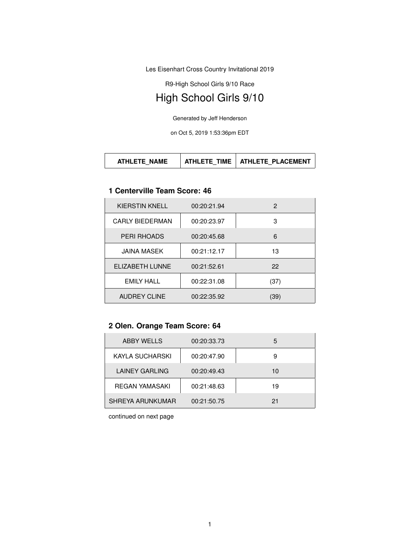Les Eisenhart Cross Country Invitational 2019

R9-High School Girls 9/10 Race

# High School Girls 9/10

Generated by Jeff Henderson

on Oct 5, 2019 1:53:36pm EDT

| ATHLETE NAME | TIMF<br>ATHI FTF | ATHLETE PLACEMENT |
|--------------|------------------|-------------------|
|--------------|------------------|-------------------|

#### **1 Centerville Team Score: 46**

| <b>KIERSTIN KNELL</b> | 00:20:21.94 | 2    |
|-----------------------|-------------|------|
| CARIY BIFDFRMAN       | 00:20:23.97 | 3    |
| <b>PERI RHOADS</b>    | 00:20:45.68 | 6    |
| JAINA MASEK           | 00:21:12.17 | 13   |
| ELIZABETH LUNNE       | 00:21:52.61 | 22   |
| <b>EMILY HALL</b>     | 00:22:31.08 | (37) |
| <b>AUDREY CLINE</b>   | 00:22:35.92 | (39) |

## **2 Olen. Orange Team Score: 64**

| <b>ABBY WELLS</b> | 00:20:33.73 | 5  |
|-------------------|-------------|----|
| KAYLA SUCHARSKI   | 00:20:47.90 | 9  |
| LAINEY GARLING    | 00:20:49.43 | 10 |
| REGAN YAMASAKI    | 00:21:48.63 | 19 |
| SHREYA ARUNKUMAR  | 00:21:50.75 | 21 |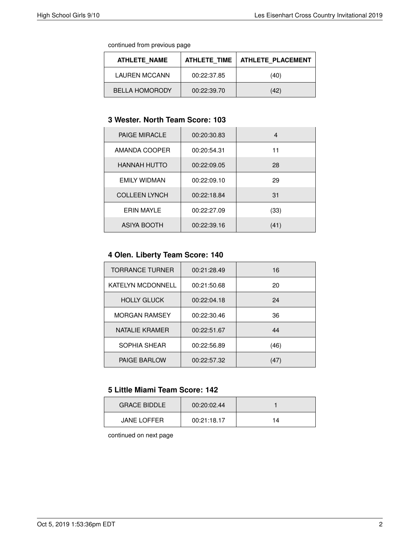continued from previous page

| ATHLETE NAME          | ATHLETE TIME | <b>ATHLETE PLACEMENT</b> |
|-----------------------|--------------|--------------------------|
| <b>LAUREN MCCANN</b>  | 00:22:37.85  | (40)                     |
| <b>BELLA HOMORODY</b> | 00:22:39.70  | (42)                     |

## **3 Wester. North Team Score: 103**

| <b>PAIGE MIRACLE</b> | 00:20:30.83 | 4    |
|----------------------|-------------|------|
| AMANDA COOPER        | 00:20:54.31 | 11   |
| <b>HANNAH HUTTO</b>  | 00:22:09.05 | 28   |
| <b>EMILY WIDMAN</b>  | 00:22:09.10 | 29   |
| <b>COLLEEN LYNCH</b> | 00:22:18.84 | 31   |
| <b>ERIN MAYLE</b>    | 00:22:27.09 | (33) |
| ASIYA BOOTH          | 00:22:39.16 | (41) |

## **4 Olen. Liberty Team Score: 140**

| <b>TORRANCE TURNER</b>   | 00:21:28.49 | 16   |
|--------------------------|-------------|------|
| <b>KATELYN MCDONNELL</b> | 00:21:50.68 | 20   |
| <b>HOLLY GLUCK</b>       | 00:22:04.18 | 24   |
| <b>MORGAN RAMSEY</b>     | 00:22:30.46 | 36   |
| NATALIE KRAMER           | 00:22:51.67 | 44   |
| SOPHIA SHEAR             | 00:22:56.89 | (46) |
| <b>PAIGE BARLOW</b>      | 00:22:57.32 | (47) |

## **5 Little Miami Team Score: 142**

| <b>GRACE BIDDLE</b> | 00:20:02.44 |    |
|---------------------|-------------|----|
| <b>JANE LOFFER</b>  | 00:21:18.17 | 14 |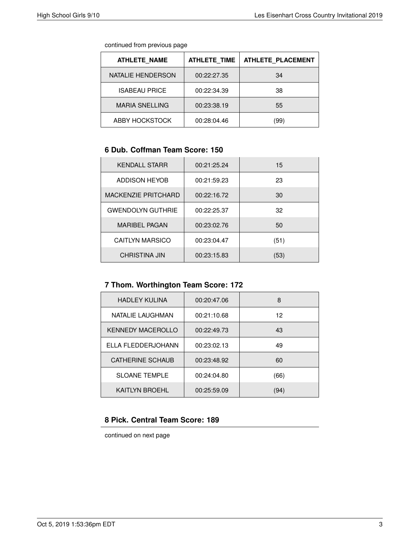continued from previous page

| <b>ATHLETE NAME</b>   | <b>ATHLETE TIME</b> | <b>ATHLETE PLACEMENT</b> |
|-----------------------|---------------------|--------------------------|
| NATALIE HENDERSON     | 00:22:27.35         | 34                       |
| <b>ISABEAU PRICE</b>  | 00:22:34.39         | 38                       |
| <b>MARIA SNELLING</b> | 00:23:38.19         | 55                       |
| ABBY HOCKSTOCK        | 00:28:04.46         | (99)                     |

#### **6 Dub. Coffman Team Score: 150**

| <b>KENDALL STARR</b>     | 00:21:25.24 | 15   |
|--------------------------|-------------|------|
| <b>ADDISON HEYOB</b>     | 00:21:59.23 | 23   |
| MACKENZIE PRITCHARD      | 00:22:16.72 | 30   |
| <b>GWENDOLYN GUTHRIE</b> | 00:22:25.37 | 32   |
| <b>MARIBEL PAGAN</b>     | 00:23:02.76 | 50   |
| <b>CAITLYN MARSICO</b>   | 00:23:04.47 | (51) |
| <b>CHRISTINA JIN</b>     | 00:23:15.83 | (53) |

## **7 Thom. Worthington Team Score: 172**

| <b>HADLEY KULINA</b>     | 00:20:47.06 | 8    |
|--------------------------|-------------|------|
| NATALIE LAUGHMAN         | 00:21:10.68 | 12   |
| <b>KENNEDY MACEROLLO</b> | 00:22:49.73 | 43   |
| ELLA FLEDDERJOHANN       | 00:23:02.13 | 49   |
| <b>CATHERINE SCHAUB</b>  | 00:23:48.92 | 60   |
| <b>SLOANE TEMPLE</b>     | 00:24:04.80 | (66) |
| KAITLYN BROEHL           | 00:25:59.09 | (94) |

## **8 Pick. Central Team Score: 189**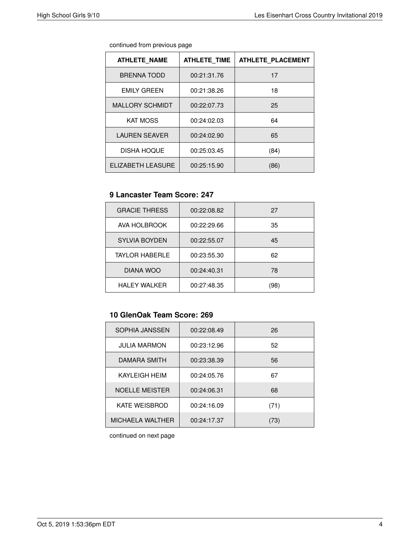| continued from previous page |  |  |
|------------------------------|--|--|
|                              |  |  |

| <b>ATHLETE NAME</b>    | <b>ATHLETE TIME</b> | <b>ATHLETE PLACEMENT</b> |
|------------------------|---------------------|--------------------------|
| <b>BRENNA TODD</b>     | 00:21:31.76         | 17                       |
| <b>EMILY GREEN</b>     | 00:21:38.26         | 18                       |
| <b>MALLORY SCHMIDT</b> | 00:22:07.73         | 25                       |
| <b>KAT MOSS</b>        | 00:24:02.03         | 64                       |
| <b>LAUREN SEAVER</b>   | 00:24:02.90         | 65                       |
| <b>DISHA HOQUE</b>     | 00:25:03.45         | (84)                     |
| ELIZABETH LEASURE      | 00:25:15.90         | (86)                     |

#### **9 Lancaster Team Score: 247**

| <b>GRACIE THRESS</b>  | 00:22:08.82 | 27   |
|-----------------------|-------------|------|
| AVA HOLBROOK          | 00:22:29.66 | 35   |
| <b>SYLVIA BOYDEN</b>  | 00:22:55.07 | 45   |
| <b>TAYLOR HABERLE</b> | 00:23:55.30 | 62   |
| DIANA WOO             | 00:24:40.31 | 78   |
| <b>HALEY WALKER</b>   | 00:27:48.35 | (98) |

# **10 GlenOak Team Score: 269**

| SOPHIA JANSSEN          | 00:22:08.49 | 26   |
|-------------------------|-------------|------|
| <b>JULIA MARMON</b>     | 00:23:12.96 | 52   |
| DAMARA SMITH            | 00:23:38.39 | 56   |
| KAYLEIGH HEIM           | 00:24:05.76 | 67   |
| <b>NOELLE MEISTER</b>   | 00:24:06.31 | 68   |
| <b>KATE WEISBROD</b>    | 00:24:16.09 | (71) |
| <b>MICHAELA WALTHER</b> | 00:24:17.37 | 73)  |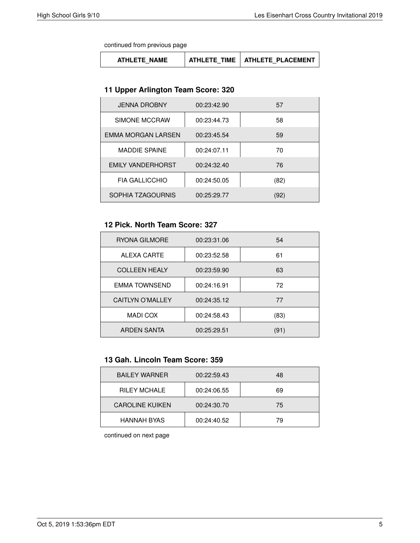continued from previous page

| <b>ATHLETE NAME</b> | ATHLETE TIME | <b>ATHLETE PLACEMENT</b> |
|---------------------|--------------|--------------------------|
|---------------------|--------------|--------------------------|

#### **11 Upper Arlington Team Score: 320**

| <b>JENNA DROBNY</b>      | 00:23:42.90 | 57   |
|--------------------------|-------------|------|
| SIMONE MCCRAW            | 00:23:44.73 | 58   |
| EMMA MORGAN LARSEN       | 00:23:45.54 | 59   |
| <b>MADDIE SPAINE</b>     | 00:24:07.11 | 70   |
| <b>EMILY VANDERHORST</b> | 00:24:32.40 | 76   |
| <b>FIA GALLICCHIO</b>    | 00:24:50.05 | (82) |
| SOPHIA TZAGOURNIS        | 00:25:29.77 | (92) |

### **12 Pick. North Team Score: 327**

| RYONA GILMORE           | 00:23:31.06 | 54   |
|-------------------------|-------------|------|
| ALEXA CARTE             | 00:23:52.58 | 61   |
| <b>COLLEEN HEALY</b>    | 00:23:59.90 | 63   |
| <b>EMMA TOWNSEND</b>    | 00:24:16.91 | 72   |
| <b>CAITLYN O'MALLEY</b> | 00:24:35.12 | 77   |
| <b>MADI COX</b>         | 00:24:58.43 | (83) |
| ARDEN SANTA             | 00:25:29.51 | (91) |

### **13 Gah. Lincoln Team Score: 359**

| <b>BAILEY WARNER</b>   | 00:22:59.43 | 48 |
|------------------------|-------------|----|
| <b>RILEY MCHALE</b>    | 00:24:06.55 | 69 |
| <b>CAROLINE KUIKEN</b> | 00:24:30.70 | 75 |
| <b>HANNAH BYAS</b>     | 00:24:40.52 | 79 |